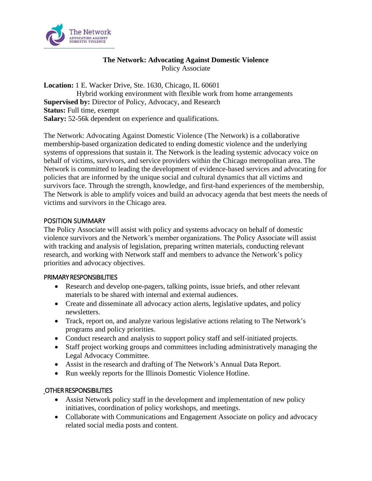

## **The Network: Advocating Against Domestic Violence** Policy Associate

**Location:** 1 E. Wacker Drive, Ste. 1630, Chicago, IL 60601 Hybrid working environment with flexible work from home arrangements **Supervised by:** Director of Policy, Advocacy, and Research **Status:** Full time, exempt **Salary:** 52-56k dependent on experience and qualifications.

The Network: Advocating Against Domestic Violence (The Network) is a collaborative membership-based organization dedicated to ending domestic violence and the underlying systems of oppressions that sustain it. The Network is the leading systemic advocacy voice on behalf of victims, survivors, and service providers within the Chicago metropolitan area. The Network is committed to leading the development of evidence-based services and advocating for policies that are informed by the unique social and cultural dynamics that all victims and survivors face. Through the strength, knowledge, and first-hand experiences of the membership, The Network is able to amplify voices and build an advocacy agenda that best meets the needs of victims and survivors in the Chicago area.

## POSITION SUMMARY

The Policy Associate will assist with policy and systems advocacy on behalf of domestic violence survivors and the Network's member organizations. The Policy Associate will assist with tracking and analysis of legislation, preparing written materials, conducting relevant research, and working with Network staff and members to advance the Network's policy priorities and advocacy objectives.

#### PRIMARY RESPONSIBILITIES

- Research and develop one-pagers, talking points, issue briefs, and other relevant materials to be shared with internal and external audiences.
- Create and disseminate all advocacy action alerts, legislative updates, and policy newsletters.
- Track, report on, and analyze various legislative actions relating to The Network's programs and policy priorities.
- Conduct research and analysis to support policy staff and self-initiated projects.
- Staff project working groups and committees including administratively managing the Legal Advocacy Committee.
- Assist in the research and drafting of The Network's Annual Data Report.
- Run weekly reports for the Illinois Domestic Violence Hotline.

# OTHER RESPONSIBILITIES

- Assist Network policy staff in the development and implementation of new policy initiatives, coordination of policy workshops, and meetings.
- Collaborate with Communications and Engagement Associate on policy and advocacy related social media posts and content.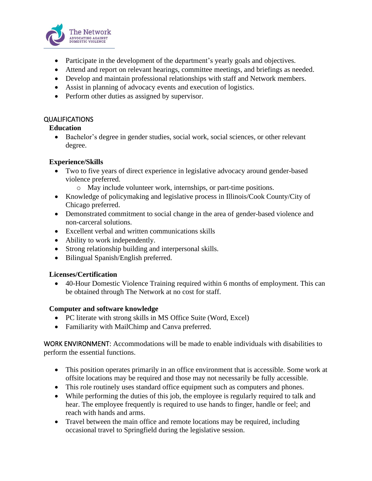

- Participate in the development of the department's yearly goals and objectives.
- Attend and report on relevant hearings, committee meetings, and briefings as needed.
- Develop and maintain professional relationships with staff and Network members.
- Assist in planning of advocacy events and execution of logistics.
- Perform other duties as assigned by supervisor.

# QUALIFICATIONS

# **Education**

• Bachelor's degree in gender studies, social work, social sciences, or other relevant degree.

# **Experience/Skills**

- Two to five years of direct experience in legislative advocacy around gender-based violence preferred.
	- o May include volunteer work, internships, or part-time positions.
- Knowledge of policymaking and legislative process in Illinois/Cook County/City of Chicago preferred.
- Demonstrated commitment to social change in the area of gender-based violence and non-carceral solutions.
- Excellent verbal and written communications skills
- Ability to work independently.
- Strong relationship building and interpersonal skills.
- Bilingual Spanish/English preferred.

# **Licenses/Certification**

• 40-Hour Domestic Violence Training required within 6 months of employment. This can be obtained through The Network at no cost for staff.

# **Computer and software knowledge**

- PC literate with strong skills in MS Office Suite (Word, Excel)
- Familiarity with MailChimp and Canva preferred.

WORK ENVIRONMENT: Accommodations will be made to enable individuals with disabilities to perform the essential functions.

- This position operates primarily in an office environment that is accessible. Some work at offsite locations may be required and those may not necessarily be fully accessible.
- This role routinely uses standard office equipment such as computers and phones.
- While performing the duties of this job, the employee is regularly required to talk and hear. The employee frequently is required to use hands to finger, handle or feel; and reach with hands and arms.
- Travel between the main office and remote locations may be required, including occasional travel to Springfield during the legislative session.